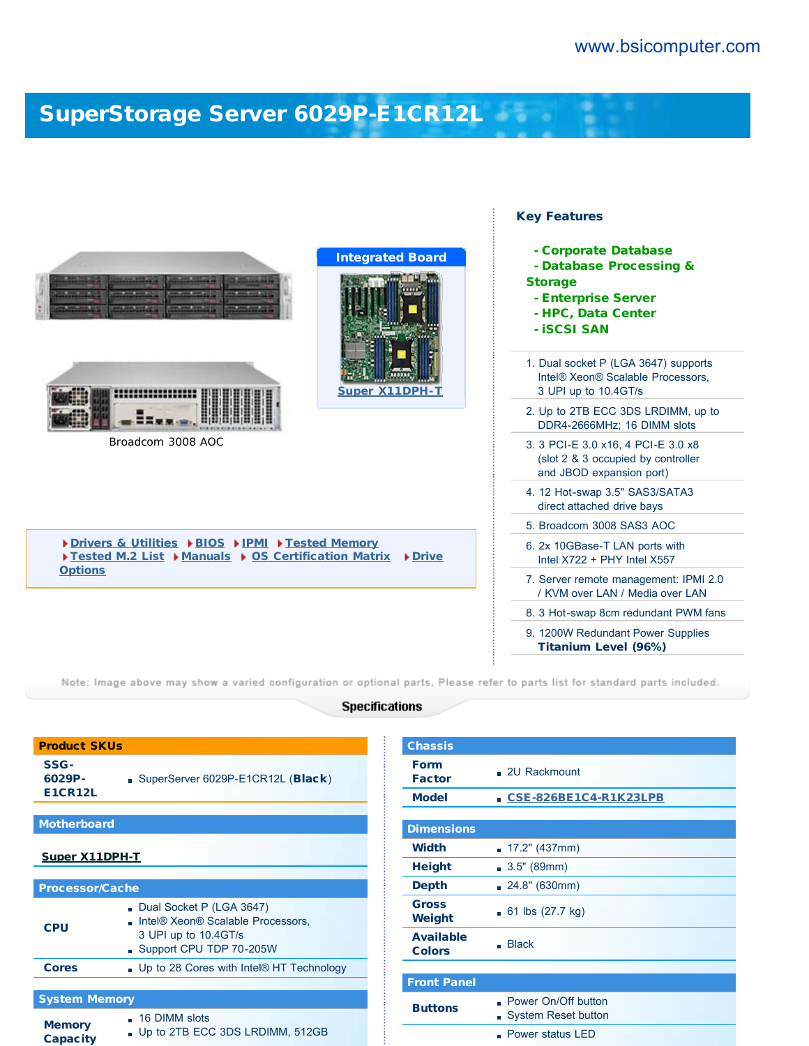# [SuperStorage Server 6029P-E1CR12L](http://www.bsicomputer.com/products/6029p-e1cr12l-16881)



Note: Image above may show a varied configuration or optional parts, Please refer to parts list for standard parts included.

#### **Specifications**

| <b>Product SKUs</b>              |                                                                                                                  |  |  |  |  |
|----------------------------------|------------------------------------------------------------------------------------------------------------------|--|--|--|--|
| SSG-<br>6029P-<br><b>E1CR12L</b> | SuperServer 6029P-E1CR12L ( <b>Black</b> )                                                                       |  |  |  |  |
| <b>Motherboard</b>               |                                                                                                                  |  |  |  |  |
| <b>Super X11DPH-T</b>            |                                                                                                                  |  |  |  |  |
| <b>Processor/Cache</b>           |                                                                                                                  |  |  |  |  |
| <b>CPU</b>                       | Dual Socket P (LGA 3647)<br>Intel® Xeon® Scalable Processors,<br>3 UPI up to 10.4GT/s<br>Support CPU TDP 70-205W |  |  |  |  |
| <b>Cores</b>                     | . Up to 28 Cores with Intel® HT Technology                                                                       |  |  |  |  |
|                                  |                                                                                                                  |  |  |  |  |
| <b>System Memory</b>             |                                                                                                                  |  |  |  |  |
| <b>Memory</b><br><b>Capacity</b> | . 16 DIMM slots<br>Up to 2TB ECC 3DS LRDIMM, 512GB                                                               |  |  |  |  |

| <b>Chassis</b>                    |                                                          |  |  |  |  |
|-----------------------------------|----------------------------------------------------------|--|--|--|--|
| <b>Form</b><br><b>Factor</b>      | . 2U Rackmount                                           |  |  |  |  |
| <b>Model</b>                      | CSE-826BE1C4-R1K23LPB<br>ä,                              |  |  |  |  |
|                                   |                                                          |  |  |  |  |
| <b>Dimensions</b>                 |                                                          |  |  |  |  |
| <b>Width</b>                      | 17.2" (437mm)                                            |  |  |  |  |
| <b>Height</b>                     | 3.5" (89mm)                                              |  |  |  |  |
| <b>Depth</b>                      | 24.8" (630mm)                                            |  |  |  |  |
| <b>Gross</b><br>Weight            | 61 lbs $(27.7 \text{ kg})$                               |  |  |  |  |
| <b>Available</b><br><b>Colors</b> | <b>Black</b>                                             |  |  |  |  |
|                                   |                                                          |  |  |  |  |
| <b>Front Panel</b>                |                                                          |  |  |  |  |
| <b>Buttons</b>                    | . Power On/Off button<br><b>System Reset button</b><br>n |  |  |  |  |
|                                   | Power status LED                                         |  |  |  |  |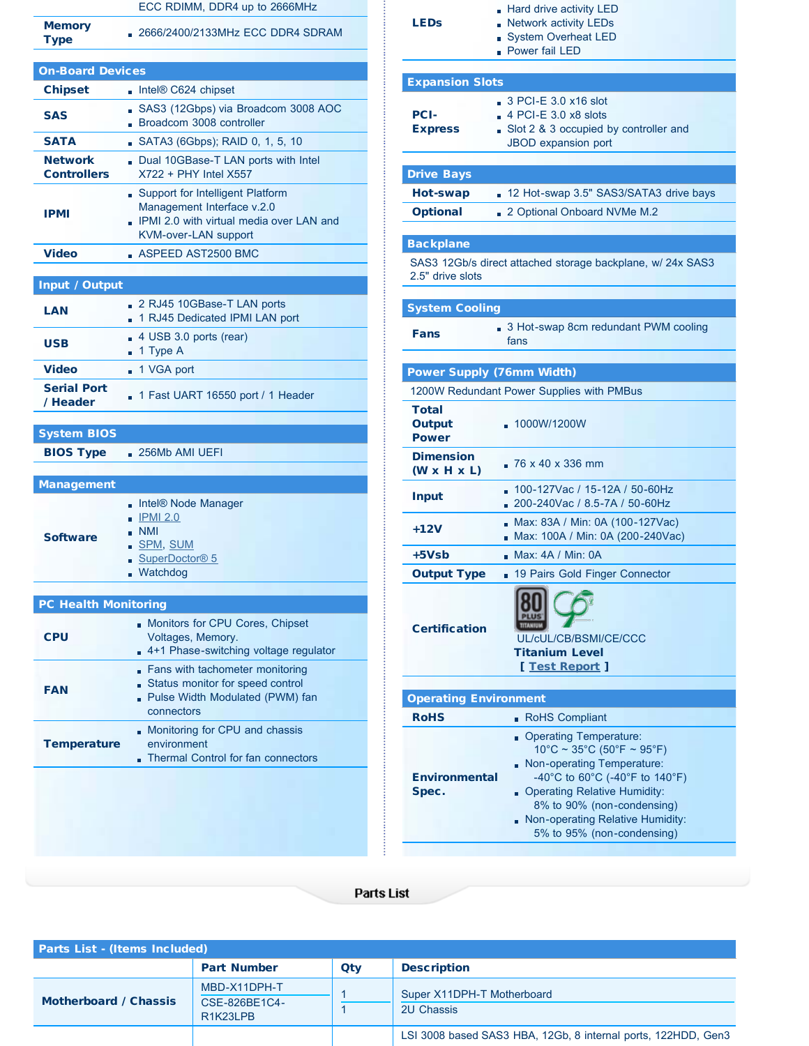| ECC RDIMM, DDR4 up to 2666MHz |  |  |
|-------------------------------|--|--|
|                               |  |  |

Memory<br>Type

D2666/2400/2133MHz ECC DDR4 SDRAM

| <b>On-Board Devices</b>              |                                                                                                                                      |  |  |  |
|--------------------------------------|--------------------------------------------------------------------------------------------------------------------------------------|--|--|--|
| <b>Chipset</b>                       | Intel® C624 chipset                                                                                                                  |  |  |  |
| <b>SAS</b>                           | SAS3 (12Gbps) via Broadcom 3008 AOC<br>- Broadcom 3008 controller                                                                    |  |  |  |
| <b>SATA</b>                          | SATA3 (6Gbps); RAID 0, 1, 5, 10                                                                                                      |  |  |  |
| <b>Network</b><br><b>Controllers</b> | Dual 10GBase-T LAN ports with Intel<br>X722 + PHY Intel X557                                                                         |  |  |  |
| <b>IPMI</b>                          | Support for Intelligent Platform<br>Management Interface v.2.0<br>. IPMI 2.0 with virtual media over LAN and<br>KVM-over-LAN support |  |  |  |
| Video                                | $\blacksquare$ ASPEED AST2500 BMC                                                                                                    |  |  |  |
|                                      |                                                                                                                                      |  |  |  |

### Input / Output

| LAN                            | 2 RJ45 10GBase-T LAN ports<br>1 RJ45 Dedicated IPMI LAN port     |  |  |  |  |
|--------------------------------|------------------------------------------------------------------|--|--|--|--|
| <b>USB</b>                     | $\blacksquare$ 4 USB 3.0 ports (rear)<br>$\blacksquare$ 1 Type A |  |  |  |  |
| <b>Video</b>                   | ■ 1 VGA port                                                     |  |  |  |  |
| <b>Serial Port</b><br>/ Header | 1 Fast UART 16550 port / 1 Header                                |  |  |  |  |

## System BIOS

BIOS Type : 256Mb AMI UEFI

| <b>Management</b> |                                                                                                                                     |
|-------------------|-------------------------------------------------------------------------------------------------------------------------------------|
| <b>Software</b>   | . Intel® Node Manager<br>$\blacksquare$ IPMI 2.0<br>$\blacksquare$ NMI<br>SPM, SUM<br>SuperDoctor <sup>®</sup> 5<br><b>Matchdog</b> |
|                   |                                                                                                                                     |

| <b>PC Health Monitoring</b> |                                                                                                                      |  |  |  |
|-----------------------------|----------------------------------------------------------------------------------------------------------------------|--|--|--|
| <b>CPU</b>                  | Monitors for CPU Cores, Chipset<br>Voltages, Memory.<br>4+1 Phase-switching voltage regulator                        |  |  |  |
| <b>FAN</b>                  | Fans with tachometer monitoring<br>Status monitor for speed control<br>Pulse Width Modulated (PWM) fan<br>connectors |  |  |  |
| <b>Temperature</b>          | Monitoring for CPU and chassis<br>environment<br>Thermal Control for fan connectors                                  |  |  |  |
|                             |                                                                                                                      |  |  |  |

| LEDs                                        | Hard drive activity LED<br>Network activity LEDs<br><b>System Overheat LED</b><br>- Power fail LED                                                                                                                                         |  |  |  |
|---------------------------------------------|--------------------------------------------------------------------------------------------------------------------------------------------------------------------------------------------------------------------------------------------|--|--|--|
| <b>Expansion Slots</b>                      |                                                                                                                                                                                                                                            |  |  |  |
| <b>PCI-</b><br><b>Express</b>               | $\Box$ 3 PCI-E 3.0 x16 slot<br>$\sqrt{4}$ PCI-E 3.0 x8 slots<br>Slot 2 & 3 occupied by controller and<br><b>JBOD</b> expansion port                                                                                                        |  |  |  |
| <b>Drive Bays</b>                           |                                                                                                                                                                                                                                            |  |  |  |
| Hot-swap                                    | 12 Hot-swap 3.5" SAS3/SATA3 drive bays                                                                                                                                                                                                     |  |  |  |
| <b>Optional</b>                             | 2 Optional Onboard NVMe M.2                                                                                                                                                                                                                |  |  |  |
|                                             |                                                                                                                                                                                                                                            |  |  |  |
| <b>Backplane</b><br>2.5" drive slots        | SAS3 12Gb/s direct attached storage backplane, w/ 24x SAS3                                                                                                                                                                                 |  |  |  |
| <b>System Cooling</b>                       |                                                                                                                                                                                                                                            |  |  |  |
| Fans                                        | 3 Hot-swap 8cm redundant PWM cooling<br>fans                                                                                                                                                                                               |  |  |  |
| <b>Power Supply (76mm Width)</b>            |                                                                                                                                                                                                                                            |  |  |  |
|                                             | 1200W Redundant Power Supplies with PMBus                                                                                                                                                                                                  |  |  |  |
| <b>Total</b><br>Output<br><b>Power</b>      | 1000W/1200W                                                                                                                                                                                                                                |  |  |  |
| <b>Dimension</b><br>$(W \times H \times L)$ | $26 \times 40 \times 336$ mm                                                                                                                                                                                                               |  |  |  |
| <b>Input</b>                                | 100-127Vac / 15-12A / 50-60Hz<br>200-240Vac / 8.5-7A / 50-60Hz                                                                                                                                                                             |  |  |  |
| +12V                                        | Max: 83A / Min: 0A (100-127Vac)<br>Max: 100A / Min: 0A (200-240Vac)                                                                                                                                                                        |  |  |  |
| +5Vsb                                       | . Max: 4A / Min: 0A                                                                                                                                                                                                                        |  |  |  |
| <b>Output Type</b>                          | 19 Pairs Gold Finger Connector                                                                                                                                                                                                             |  |  |  |
| <b>Certification</b>                        | ൶<br>UL/cUL/CB/BSMI/CE/CCC<br><b>Titanium Level</b><br>[ Test Report ]                                                                                                                                                                     |  |  |  |
| <b>Operating Environment</b>                |                                                                                                                                                                                                                                            |  |  |  |
| <b>RoHS</b>                                 | RoHS Compliant                                                                                                                                                                                                                             |  |  |  |
| <b>Environmental</b><br>Spec.               | <b>Operating Temperature:</b><br>$10^{\circ}$ C ~ 35 $^{\circ}$ C (50 $^{\circ}$ F ~ 95 $^{\circ}$ F)<br>Non-operating Temperature:<br>-40°C to 60°C (-40°F to 140°F)<br><b>Operating Relative Humidity:</b><br>8% to 90% (non-condensing) |  |  |  |

Non-operating Relative Humidity: 5% to 95% (non-condensing)

#### Parts List

| <b>Parts List - (Items Included)</b> |                                                                     |     |                                                               |  |
|--------------------------------------|---------------------------------------------------------------------|-----|---------------------------------------------------------------|--|
|                                      | <b>Part Number</b>                                                  | Qtv | <b>Description</b>                                            |  |
| <b>Motherboard / Chassis</b>         | MBD-X11DPH-T<br>CSE-826BE1C4-<br>R <sub>1</sub> K <sub>23</sub> LPB |     | Super X11DPH-T Motherboard<br><b>2U Chassis</b>               |  |
|                                      |                                                                     |     | LSI 3008 based SAS3 HBA, 12Gb, 8 internal ports, 122HDD, Gen3 |  |